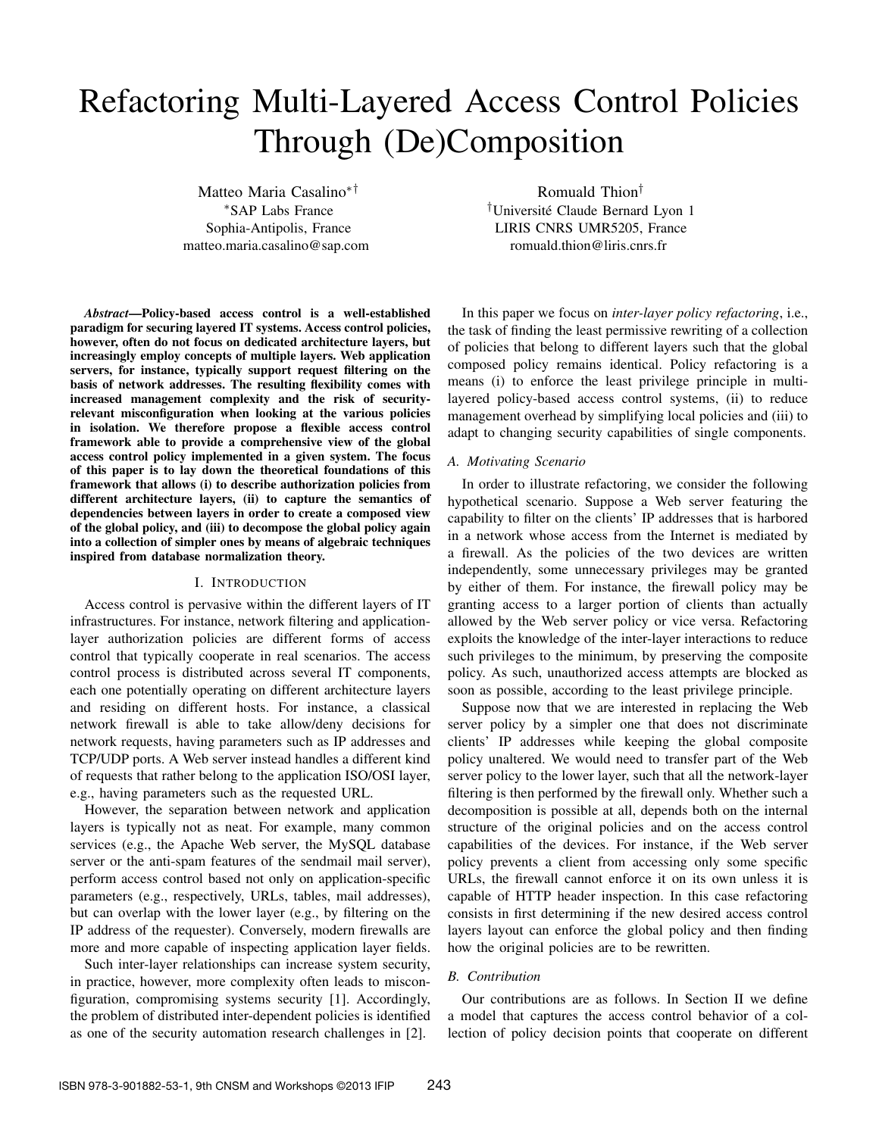# Refactoring Multi-Layered Access Control Policies Through (De)Composition

Matteo Maria Casalino∗† <sup>∗</sup>SAP Labs France Sophia-Antipolis, France matteo.maria.casalino@sap.com

*Abstract***—Policy-based access control is a well-established paradigm for securing layered IT systems. Access control policies, however, often do not focus on dedicated architecture layers, but increasingly employ concepts of multiple layers. Web application servers, for instance, typically support request filtering on the basis of network addresses. The resulting flexibility comes with increased management complexity and the risk of securityrelevant misconfiguration when looking at the various policies in isolation. We therefore propose a flexible access control framework able to provide a comprehensive view of the global access control policy implemented in a given system. The focus of this paper is to lay down the theoretical foundations of this framework that allows (i) to describe authorization policies from different architecture layers, (ii) to capture the semantics of dependencies between layers in order to create a composed view of the global policy, and (iii) to decompose the global policy again into a collection of simpler ones by means of algebraic techniques inspired from database normalization theory.**

# I. INTRODUCTION

Access control is pervasive within the different layers of IT infrastructures. For instance, network filtering and applicationlayer authorization policies are different forms of access control that typically cooperate in real scenarios. The access control process is distributed across several IT components, each one potentially operating on different architecture layers and residing on different hosts. For instance, a classical network firewall is able to take allow/deny decisions for network requests, having parameters such as IP addresses and TCP/UDP ports. A Web server instead handles a different kind of requests that rather belong to the application ISO/OSI layer, e.g., having parameters such as the requested URL.

However, the separation between network and application layers is typically not as neat. For example, many common services (e.g., the Apache Web server, the MySQL database server or the anti-spam features of the sendmail mail server), perform access control based not only on application-specific parameters (e.g., respectively, URLs, tables, mail addresses), but can overlap with the lower layer (e.g., by filtering on the IP address of the requester). Conversely, modern firewalls are more and more capable of inspecting application layer fields.

Such inter-layer relationships can increase system security, in practice, however, more complexity often leads to misconfiguration, compromising systems security [1]. Accordingly, the problem of distributed inter-dependent policies is identified as one of the security automation research challenges in [2].

Romuald Thion† †Universite Claude Bernard Lyon 1 ´ LIRIS CNRS UMR5205, France romuald.thion@liris.cnrs.fr

In this paper we focus on *inter-layer policy refactoring*, i.e., the task of finding the least permissive rewriting of a collection of policies that belong to different layers such that the global composed policy remains identical. Policy refactoring is a means (i) to enforce the least privilege principle in multilayered policy-based access control systems, (ii) to reduce management overhead by simplifying local policies and (iii) to adapt to changing security capabilities of single components.

# *A. Motivating Scenario*

In order to illustrate refactoring, we consider the following hypothetical scenario. Suppose a Web server featuring the capability to filter on the clients' IP addresses that is harbored in a network whose access from the Internet is mediated by a firewall. As the policies of the two devices are written independently, some unnecessary privileges may be granted by either of them. For instance, the firewall policy may be granting access to a larger portion of clients than actually allowed by the Web server policy or vice versa. Refactoring exploits the knowledge of the inter-layer interactions to reduce such privileges to the minimum, by preserving the composite policy. As such, unauthorized access attempts are blocked as soon as possible, according to the least privilege principle.

Suppose now that we are interested in replacing the Web server policy by a simpler one that does not discriminate clients' IP addresses while keeping the global composite policy unaltered. We would need to transfer part of the Web server policy to the lower layer, such that all the network-layer filtering is then performed by the firewall only. Whether such a decomposition is possible at all, depends both on the internal structure of the original policies and on the access control capabilities of the devices. For instance, if the Web server policy prevents a client from accessing only some specific URLs, the firewall cannot enforce it on its own unless it is capable of HTTP header inspection. In this case refactoring consists in first determining if the new desired access control layers layout can enforce the global policy and then finding how the original policies are to be rewritten.

# *B. Contribution*

Our contributions are as follows. In Section II we define a model that captures the access control behavior of a collection of policy decision points that cooperate on different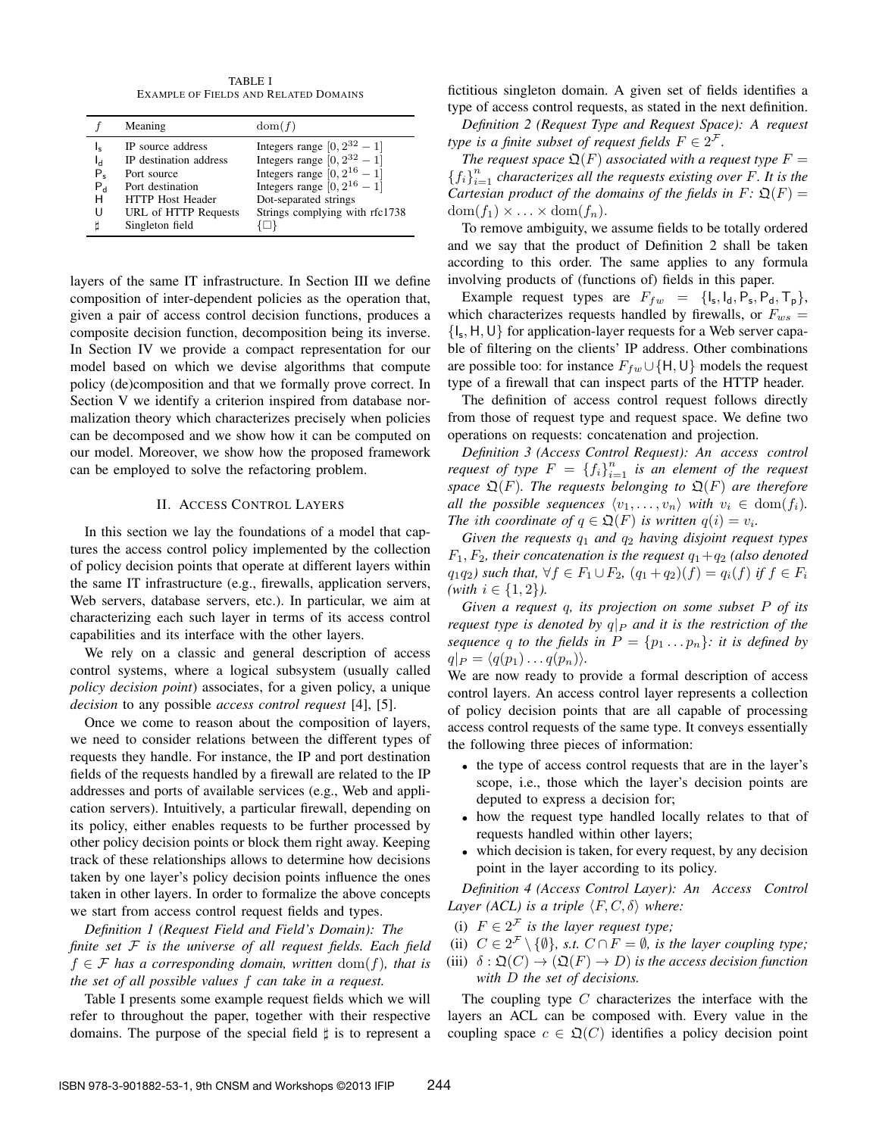TABLE I EXAMPLE OF FIELDS AND RELATED DOMAINS

|                                                                    | Meaning                                                                                                                                              | dom(f)                                                                                                                                                                                                             |
|--------------------------------------------------------------------|------------------------------------------------------------------------------------------------------------------------------------------------------|--------------------------------------------------------------------------------------------------------------------------------------------------------------------------------------------------------------------|
| $\mathsf{I}_\mathsf{s}$<br>ı,<br>$P_{s}$<br>$P_{d}$<br>н<br>U<br>Þ | IP source address<br>IP destination address<br>Port source<br>Port destination<br><b>HTTP Host Header</b><br>URL of HTTP Requests<br>Singleton field | Integers range $[0, 2^{32} - 1]$<br>Integers range $\left[0, 2^{32} - 1\right]$<br>Integers range $[0, 2^{16} - 1]$<br>Integers range $[0, 2^{16} - 1]$<br>Dot-separated strings<br>Strings complying with rfc1738 |

layers of the same IT infrastructure. In Section III we define composition of inter-dependent policies as the operation that, given a pair of access control decision functions, produces a composite decision function, decomposition being its inverse. In Section IV we provide a compact representation for our model based on which we devise algorithms that compute policy (de)composition and that we formally prove correct. In Section V we identify a criterion inspired from database normalization theory which characterizes precisely when policies can be decomposed and we show how it can be computed on our model. Moreover, we show how the proposed framework can be employed to solve the refactoring problem.

# II. ACCESS CONTROL LAYERS

In this section we lay the foundations of a model that captures the access control policy implemented by the collection of policy decision points that operate at different layers within the same IT infrastructure (e.g., firewalls, application servers, Web servers, database servers, etc.). In particular, we aim at characterizing each such layer in terms of its access control capabilities and its interface with the other layers.

We rely on a classic and general description of access control systems, where a logical subsystem (usually called *policy decision point*) associates, for a given policy, a unique *decision* to any possible *access control request* [4], [5].

Once we come to reason about the composition of layers, we need to consider relations between the different types of requests they handle. For instance, the IP and port destination fields of the requests handled by a firewall are related to the IP addresses and ports of available services (e.g., Web and application servers). Intuitively, a particular firewall, depending on its policy, either enables requests to be further processed by other policy decision points or block them right away. Keeping track of these relationships allows to determine how decisions taken by one layer's policy decision points influence the ones taken in other layers. In order to formalize the above concepts we start from access control request fields and types.

*Definition 1 (Request Field and Field's Domain): The finite set*  $F$  *is the universe of all request fields. Each field*  $f \in \mathcal{F}$  has a corresponding domain, written  $dom(f)$ , that is *the set of all possible values can take in a request.*

Table I presents some example request fields which we will refer to throughout the paper, together with their respective domains. The purpose of the special field  $\sharp$  is to represent a

fictitious singleton domain. A given set of fields identifies a type of access control requests, as stated in the next definition.

*Definition 2 (Request Type and Request Space): A request type is a finite subset of request fields*  $F \in 2^{\mathcal{F}}$ *.* 

*The request space*  $\mathfrak{Q}(F)$  associated with a request type  $F =$  ${f_i}_{i=1}^n$  *characterizes all the requests existing over*  $F$ *. It is the Cartesian product of the domains of the fields in*  $F: \mathfrak{Q}(F) =$  $dom(f_1) \times ... \times dom(f_n).$ 

To remove ambiguity, we assume fields to be totally ordered and we say that the product of Definition 2 shall be taken according to this order. The same applies to any formula involving products of (functions of) fields in this paper.

Example request types are  $F_{fw} = \{I_s, I_d, P_s, P_d, T_p\},\$ which characterizes requests handled by firewalls, or  $F_{ws}$  =  $\{I_s, H, U\}$  for application-layer requests for a Web server capable of filtering on the clients' IP address. Other combinations are possible too: for instance  $F_{fw} \cup \{H, U\}$  models the request type of a firewall that can inspect parts of the HTTP header.

The definition of access control request follows directly from those of request type and request space. We define two operations on requests: concatenation and projection.

*Definition 3 (Access Control Request): An access control request of type*  $F = \{f_i\}_{i=1}^n$  *is an element of the request space*  $\mathfrak{Q}(F)$ *. The requests belonging to*  $\mathfrak{Q}(F)$  *are therefore all the possible sequences*  $\langle v_1, \ldots, v_n \rangle$  *with*  $v_i \in \text{dom}(f_i)$ *. The ith coordinate of*  $q \in \mathfrak{Q}(F)$  *is written*  $q(i) = v_i$ *.* 

*Given the requests*  $q_1$  *and*  $q_2$  *having disjoint request types*  $F_1, F_2$ , their concatenation is the request  $q_1+q_2$  (also denoted  $q_1q_2$ ) such that,  $\forall f \in F_1 \cup F_2$ ,  $(q_1+q_2)(f) = q_i(f)$  if  $f \in F_i$ *(with*  $i \in \{1, 2\}$ *).* 

*Given a request q, its projection on some subset* P of its *request type is denoted by*  $q|_P$  *and it is the restriction of the sequence* q to the fields in  $P = \{p_1 \dots p_n\}$ : it is defined by  $q|_P = \langle q(p_1) \dots q(p_n) \rangle$ *.* 

We are now ready to provide a formal description of access control layers. An access control layer represents a collection of policy decision points that are all capable of processing access control requests of the same type. It conveys essentially the following three pieces of information:

- <sup>∙</sup> the type of access control requests that are in the layer's scope, i.e., those which the layer's decision points are deputed to express a decision for;
- <sup>∙</sup> how the request type handled locally relates to that of requests handled within other layers;
- <sup>∙</sup> which decision is taken, for every request, by any decision point in the layer according to its policy.

*Definition 4 (Access Control Layer): An Access Control Layer (ACL) is a triple*  $\langle F, C, \delta \rangle$  *where:* 

- (i)  $F \in 2^{\mathcal{F}}$  *is the layer request type*;
- (ii)  $C \in 2^{\mathcal{F}} \setminus \{ \emptyset \}$ *, s.t.*  $C \cap F = \emptyset$ *, is the layer coupling type*;
- (iii)  $\delta : \mathfrak{Q}(C) \to (\mathfrak{Q}(F) \to D)$  *is the access decision function with the set of decisions.*

The coupling type  $C$  characterizes the interface with the layers an ACL can be composed with. Every value in the coupling space  $c \in \mathfrak{Q}(C)$  identifies a policy decision point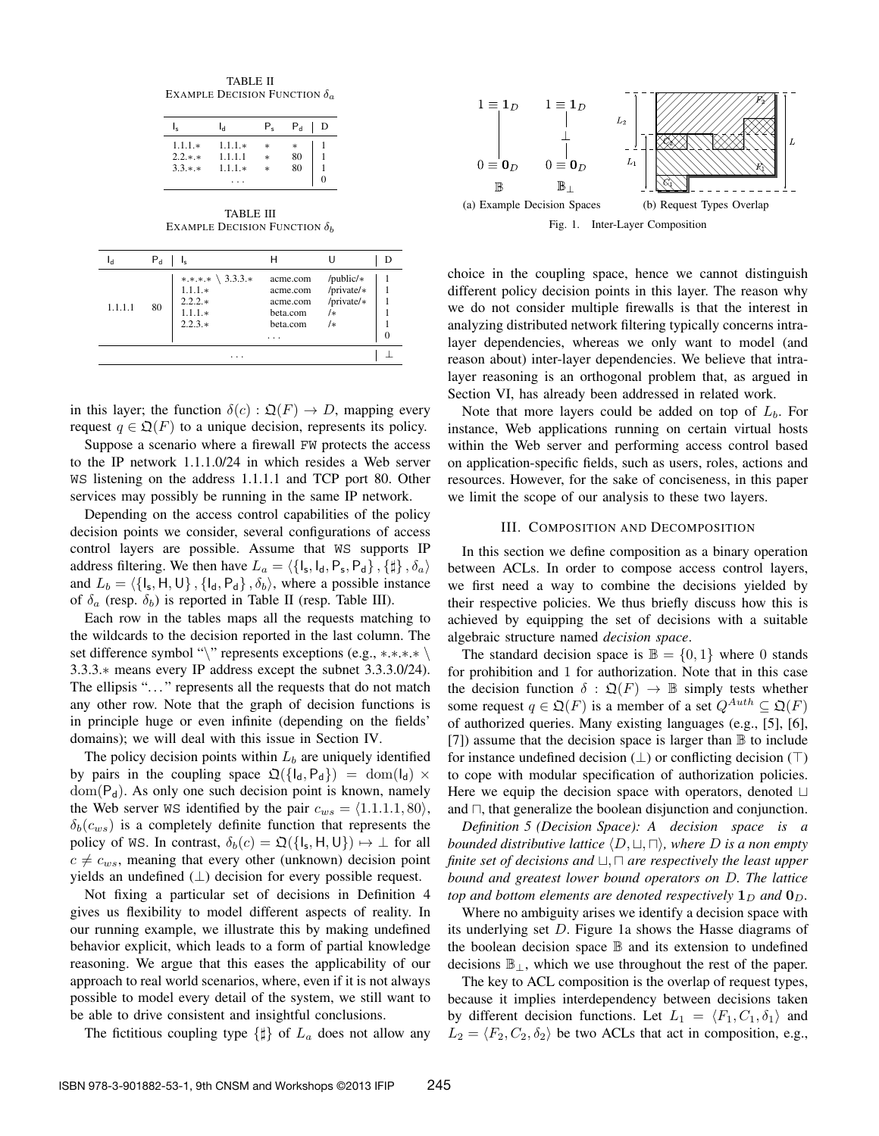TABLE II EXAMPLE DECISION FUNCTION  $\delta_a$ 

| Iء                                  | I٩                             | P.                         | $P_d$              | D        |
|-------------------------------------|--------------------------------|----------------------------|--------------------|----------|
| $1.1.1.*$<br>$2.2.*.*$<br>$3.3.*.*$ | $1.1.1.*$<br>1111<br>$1.1.1.*$ | $\ast$<br>$\ast$<br>$\ast$ | $\ast$<br>80<br>80 |          |
|                                     |                                |                            |                    | $\Omega$ |

TABLE III EXAMPLE DECISION FUNCTION  $\delta_b$ 

| ıч      | $P_{\rm d}$ | ı,                                                                   |                                                               |                                                      |  |
|---------|-------------|----------------------------------------------------------------------|---------------------------------------------------------------|------------------------------------------------------|--|
| 1.1.1.1 | 80          | **** \ $3.3.3.*$<br>$1.1.1.*$<br>$2.2.2.*$<br>$1.1.1.*$<br>$2.2.3.*$ | acme.com<br>acme.com<br>acme.com<br>beta.com<br>beta.com<br>. | /public/ $*$<br>/private/*<br>/private/*<br>/∗<br>/* |  |
| .       |             |                                                                      |                                                               |                                                      |  |

in this layer; the function  $\delta(c) : \mathfrak{Q}(F) \to D$ , mapping every request  $q \in \mathfrak{Q}(F)$  to a unique decision, represents its policy.

Suppose a scenario where a firewall FW protects the access to the IP network 1.1.1.0/24 in which resides a Web server WS listening on the address 1.1.1.1 and TCP port 80. Other services may possibly be running in the same IP network.

Depending on the access control capabilities of the policy decision points we consider, several configurations of access control layers are possible. Assume that WS supports IP address filtering. We then have  $L_a = \langle \{I_s, I_d, P_s, P_d\}, \{\sharp\}, \delta_a \rangle$ and  $L_b = \langle \{I_s, H, U\}, \{I_d, P_d\}, \delta_b \rangle$ , where a possible instance of  $\delta_a$  (resp.  $\delta_b$ ) is reported in Table II (resp. Table III).

Each row in the tables maps all the requests matching to the wildcards to the decision reported in the last column. The set difference symbol "∖" represents exceptions (e.g., ∗.∗.∗.∗ ∖ 3.3.3.∗ means every IP address except the subnet 3.3.3.0/24). The ellipsis "..." represents all the requests that do not match any other row. Note that the graph of decision functions is in principle huge or even infinite (depending on the fields' domains); we will deal with this issue in Section IV.

The policy decision points within  $L<sub>b</sub>$  are uniquely identified by pairs in the coupling space  $\mathfrak{Q}(\lbrace I_d, P_d \rbrace) = \text{dom}(I_d) \times$  $dom(P_d)$ . As only one such decision point is known, namely the Web server WS identified by the pair  $c_{ws} = \langle 1.1.1.1, 80 \rangle$ ,  $\delta_b(c_{ws})$  is a completely definite function that represents the policy of WS. In contrast,  $\delta_b(c) = \mathfrak{Q}(\{I_s, H, U\}) \mapsto \perp$  for all  $c \neq c_{ws}$ , meaning that every other (unknown) decision point yields an undefined  $($  $\perp)$  decision for every possible request.

Not fixing a particular set of decisions in Definition 4 gives us flexibility to model different aspects of reality. In our running example, we illustrate this by making undefined behavior explicit, which leads to a form of partial knowledge reasoning. We argue that this eases the applicability of our approach to real world scenarios, where, even if it is not always possible to model every detail of the system, we still want to be able to drive consistent and insightful conclusions.

The fictitious coupling type  $\{\sharp\}$  of  $L_a$  does not allow any



choice in the coupling space, hence we cannot distinguish different policy decision points in this layer. The reason why we do not consider multiple firewalls is that the interest in analyzing distributed network filtering typically concerns intralayer dependencies, whereas we only want to model (and reason about) inter-layer dependencies. We believe that intralayer reasoning is an orthogonal problem that, as argued in Section VI, has already been addressed in related work.

Note that more layers could be added on top of  $L<sub>b</sub>$ . For instance, Web applications running on certain virtual hosts within the Web server and performing access control based on application-specific fields, such as users, roles, actions and resources. However, for the sake of conciseness, in this paper we limit the scope of our analysis to these two layers.

# III. COMPOSITION AND DECOMPOSITION

In this section we define composition as a binary operation between ACLs. In order to compose access control layers, we first need a way to combine the decisions yielded by their respective policies. We thus briefly discuss how this is achieved by equipping the set of decisions with a suitable algebraic structure named *decision space*.

The standard decision space is  $\mathbb{B} = \{0, 1\}$  where 0 stands for prohibition and 1 for authorization. Note that in this case the decision function  $\delta : \mathfrak{Q}(F) \to \mathbb{B}$  simply tests whether some request  $q \in \mathfrak{Q}(F)$  is a member of a set  $Q^{Auth} \subseteq \mathfrak{Q}(F)$ of authorized queries. Many existing languages (e.g., [5], [6],  $[7]$ ) assume that the decision space is larger than  $\mathbb B$  to include for instance undefined decision  $(\perp)$  or conflicting decision  $(\top)$ to cope with modular specification of authorization policies. Here we equip the decision space with operators, denoted ⊔ and ⊓, that generalize the boolean disjunction and conjunction.

*Definition 5 (Decision Space): A decision space is a bounded distributive lattice*  $\langle D, \sqcup, \sqcap \rangle$ *, where*  $D$  *is a non empty finite set of decisions and* ⊔, ⊓ *are respectively the least upper bound and greatest lower bound operators on D. The lattice top and bottom elements are denoted respectively*  $\mathbf{1}_D$  *and*  $\mathbf{0}_D$ *.* 

Where no ambiguity arises we identify a decision space with its underlying set  $D$ . Figure 1a shows the Hasse diagrams of the boolean decision space  $\mathbb B$  and its extension to undefined decisions  $\mathbb{B}_{\perp}$ , which we use throughout the rest of the paper.

The key to ACL composition is the overlap of request types, because it implies interdependency between decisions taken by different decision functions. Let  $L_1 = \langle F_1, C_1, \delta_1 \rangle$  and  $L_2 = \langle F_2, C_2, \delta_2 \rangle$  be two ACLs that act in composition, e.g.,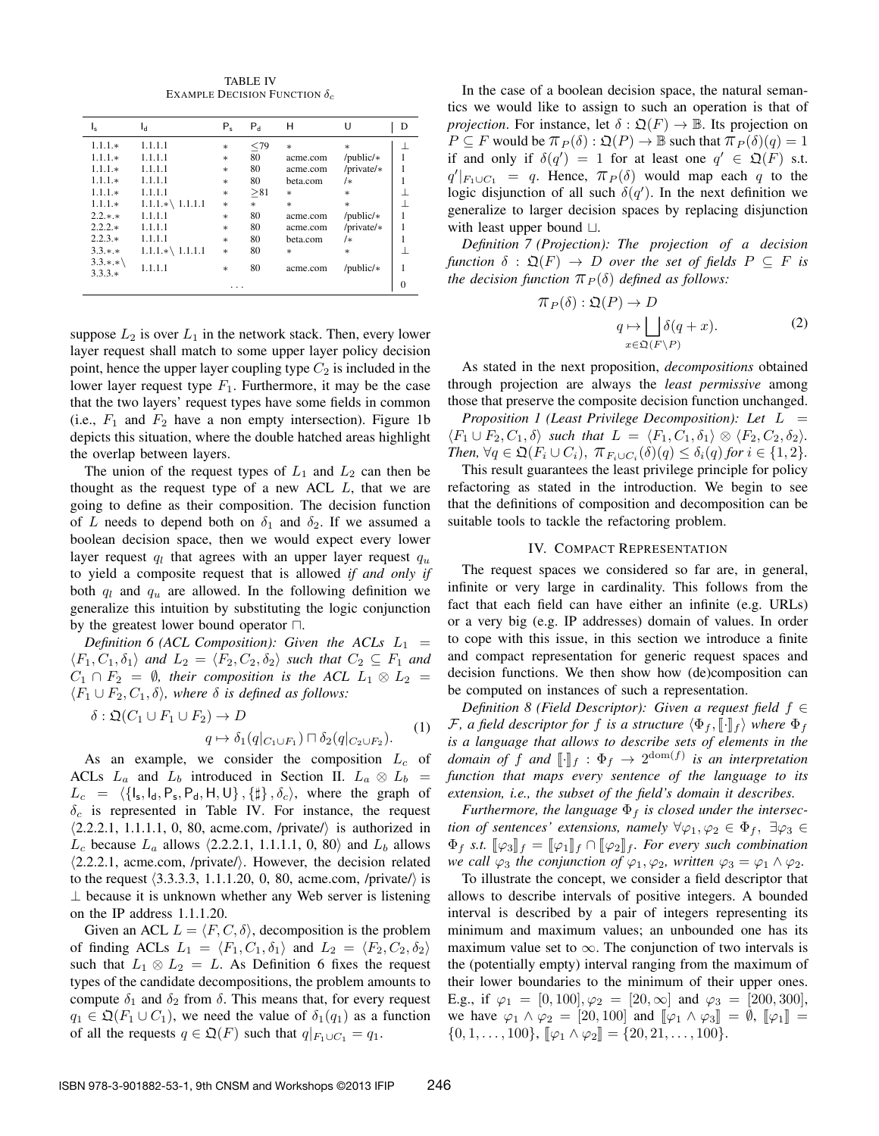TABLE IV EXAMPLE DECISION FUNCTION  $\delta_c$ 

| ı,                     | Ъd                 | $P_{s}$ | $P_{d}$ | н        |              | D |
|------------------------|--------------------|---------|---------|----------|--------------|---|
| $1.1.1.*$              | 1.1.1.1            | $\ast$  | < 79    | $\ast$   | $\ast$       |   |
| $1.1.1.*$              | 1.1.1.1            | $\ast$  | 80      | acme.com | /public/ $*$ |   |
| $1.1.1.*$              | 1.1.1.1            | $\ast$  | 80      | acme.com | /private/*   |   |
| $1.1.1.*$              | 1.1.1.1            | $\ast$  | 80      | beta.com | /∗           |   |
| $1.1.1.*$              | 1.1.1.1            | $\ast$  | > 81    | $\ast$   | $\ast$       |   |
| $1.1.1.*$              | $1.1.1.*\$ 1.1.1.1 | $\ast$  | $\ast$  | $\ast$   | $\ast$       |   |
| $2.2.*.*$              | 1.1.1.1            | $\ast$  | 80      | acme.com | /public/ $*$ |   |
| $2.2.2.*$              | 1.1.1.1            | $\ast$  | 80      | acme.com | /private/*   |   |
| $2.2.3.*$              | 1.1.1.1            | $\ast$  | 80      | beta.com | /∗           |   |
| $3.3.*.*$              | $1.1.1.*\$ 1.1.1.1 | $\ast$  | 80      | $\ast$   | $\ast$       |   |
| $3.3.*.*$<br>$3.3.3.*$ | 1.1.1.1            | $\ast$  | 80      | acme.com | /public/ $*$ |   |
|                        |                    | .       |         |          |              |   |

suppose  $L_2$  is over  $L_1$  in the network stack. Then, every lower layer request shall match to some upper layer policy decision point, hence the upper layer coupling type  $C_2$  is included in the lower layer request type  $F_1$ . Furthermore, it may be the case that the two layers' request types have some fields in common (i.e.,  $F_1$  and  $F_2$  have a non empty intersection). Figure 1b depicts this situation, where the double hatched areas highlight the overlap between layers.

The union of the request types of  $L_1$  and  $L_2$  can then be thought as the request type of a new ACL  $L$ , that we are going to define as their composition. The decision function of L needs to depend both on  $\delta_1$  and  $\delta_2$ . If we assumed a boolean decision space, then we would expect every lower layer request  $q_l$  that agrees with an upper layer request  $q_u$ to yield a composite request that is allowed *if and only if* both  $q_l$  and  $q_u$  are allowed. In the following definition we generalize this intuition by substituting the logic conjunction by the greatest lower bound operator ⊓.

*Definition 6 (ACL Composition): Given the ACLs*  $L_1$  =  $\langle F_1, C_1, \delta_1 \rangle$  *and*  $L_2 = \langle F_2, C_2, \delta_2 \rangle$  *such that*  $C_2 \subseteq F_1$  *and*  $C_1 \cap F_2 = \emptyset$ , their composition is the ACL  $L_1 \otimes L_2 =$  $\langle F_1 \cup F_2, C_1, \delta \rangle$ , where  $\delta$  is defined as follows:

$$
\delta: \mathfrak{Q}(C_1 \cup F_1 \cup F_2) \to D
$$
  

$$
q \mapsto \delta_1(q|_{C_1 \cup F_1}) \cap \delta_2(q|_{C_2 \cup F_2}).
$$
 (1)

As an example, we consider the composition  $L_c$  of ACLs  $L_a$  and  $L_b$  introduced in Section II.  $L_a \otimes L_b$  =  $L_c = \langle {\{\mathsf{I_s},\mathsf{I_d},\mathsf{P_s},\mathsf{P_d},\mathsf{H},\mathsf{U}\}\,\text{,}\,\{\{\!\!\{\!\!\{\!\!\}\!\}\,\text{,}\,\delta_c\}\!\!\},\,\text{where the graph of }$  $\delta_c$  is represented in Table IV. For instance, the request  $\langle 2.2.2.1, 1.1.1.1, 0, 80, \text{acme.com}, \text{/private/} \rangle$  is authorized in  $L_c$  because  $L_a$  allows  $\langle 2.2.2.1, 1.1.1.1, 0, 80 \rangle$  and  $L_b$  allows ⟨2.2.2.1, acme.com, /private/⟩. However, the decision related to the request  $\langle 3.3.3.3, 1.1.1.20, 0, 80, \text{acme.com}, \text{/private/} \rangle$  is  $\perp$  because it is unknown whether any Web server is listening on the IP address 1.1.1.20.

Given an ACL  $L = \langle F, C, \delta \rangle$ , decomposition is the problem of finding ACLs  $L_1 = \langle F_1, C_1, \delta_1 \rangle$  and  $L_2 = \langle F_2, C_2, \delta_2 \rangle$ such that  $L_1 \otimes L_2 = L$ . As Definition 6 fixes the request types of the candidate decompositions, the problem amounts to compute  $\delta_1$  and  $\delta_2$  from  $\delta$ . This means that, for every request  $q_1 \in \mathfrak{Q}(F_1 \cup C_1)$ , we need the value of  $\delta_1(q_1)$  as a function of all the requests  $q \in \mathfrak{Q}(F)$  such that  $q|_{F_1 \cup C_1} = q_1$ .

In the case of a boolean decision space, the natural semantics we would like to assign to such an operation is that of *projection*. For instance, let  $\delta : \mathfrak{Q}(F) \to \mathbb{B}$ . Its projection on  $P \subseteq F$  would be  $\pi_P(\delta) : \mathfrak{Q}(P) \to \mathbb{B}$  such that  $\pi_P(\delta)(q)=1$ if and only if  $\delta(q') = 1$  for at least one  $q' \in \mathfrak{Q}(F)$  s.t.  $q' |_{F_1 \cup C_1} = q$ . Hence,  $\pi_P(\delta)$  would map each q to the logic disjunction of all such  $\delta(q')$ . In the next definition we generalize to larger decision spaces by replacing disjunction with least upper bound ⊔.

*Definition 7 (Projection): The projection of a decision function*  $\delta : \mathfrak{Q}(F) \to D$  *over the set of fields*  $P \subseteq F$  *is the decision function*  $\pi_P(\delta)$  *defined as follows:* 

$$
\pi_P(\delta) : \mathfrak{Q}(P) \to D
$$
  
\n
$$
q \mapsto \bigsqcup_{x \in \mathfrak{Q}(F \setminus P)} \delta(q + x).
$$
 (2)

As stated in the next proposition, *decompositions* obtained through projection are always the *least permissive* among those that preserve the composite decision function unchanged.

*Proposition 1 (Least Privilege Decomposition): Let*  $L =$  $\langle F_1 \cup F_2, C_1, \delta \rangle$  *such that*  $L = \langle F_1, C_1, \delta_1 \rangle \otimes \langle F_2, C_2, \delta_2 \rangle$ *. Then,*  $\forall q \in \mathfrak{Q}(F_i \cup C_i)$ ,  $\pi_{F_i \cup C_i}(\delta)(q) \leq \delta_i(q)$  for  $i \in \{1, 2\}$ *.* 

This result guarantees the least privilege principle for policy refactoring as stated in the introduction. We begin to see that the definitions of composition and decomposition can be suitable tools to tackle the refactoring problem.

## IV. COMPACT REPRESENTATION

The request spaces we considered so far are, in general, infinite or very large in cardinality. This follows from the fact that each field can have either an infinite (e.g. URLs) or a very big (e.g. IP addresses) domain of values. In order to cope with this issue, in this section we introduce a finite and compact representation for generic request spaces and decision functions. We then show how (de)composition can be computed on instances of such a representation.

*Definition 8 (Field Descriptor): Given a request field*  $f \in$ F, a field descriptor for f is a structure  $\langle \Phi_f, \llbracket \cdot \rrbracket_f \rangle$  where  $\Phi_f$ *is a language that allows to describe sets of elements in the*  $\emph{domain of $f$ and $\llbracket \cdot \rrbracket_f$ : $\Phi_f$ \rightarrow $2^{\mathrm{dom}(f)$} $ is an interpretation}$ *function that maps every sentence of the language to its extension, i.e., the subset of the field's domain it describes.*

*Furthermore, the language*  $\Phi_f$  *is closed under the intersection of sentences' extensions, namely*  $\forall \varphi_1, \varphi_2 \in \Phi_f$ ,  $\exists \varphi_3 \in$  $\Phi_f$  s.t.  $[\![\varphi_3]\!]_f = [\![\varphi_1]\!]_f \cap [\![\varphi_2]\!]_f$ . For every such combination *we call*  $\varphi_3$  *the conjunction of*  $\varphi_1, \varphi_2$ *, written*  $\varphi_3 = \varphi_1 \wedge \varphi_2$ *.* 

To illustrate the concept, we consider a field descriptor that allows to describe intervals of positive integers. A bounded interval is described by a pair of integers representing its minimum and maximum values; an unbounded one has its maximum value set to  $\infty$ . The conjunction of two intervals is the (potentially empty) interval ranging from the maximum of their lower boundaries to the minimum of their upper ones. E.g., if  $\varphi_1 = [0, 100], \varphi_2 = [20, \infty]$  and  $\varphi_3 = [200, 300],$ we have  $\varphi_1 \wedge \varphi_2 = [20, 100]$  and  $[\varphi_1 \wedge \varphi_3] = \emptyset$ ,  $[\varphi_1] =$  $\{0, 1, \ldots, 100\}, \llbracket \varphi_1 \wedge \varphi_2 \rrbracket = \{20, 21, \ldots, 100\}.$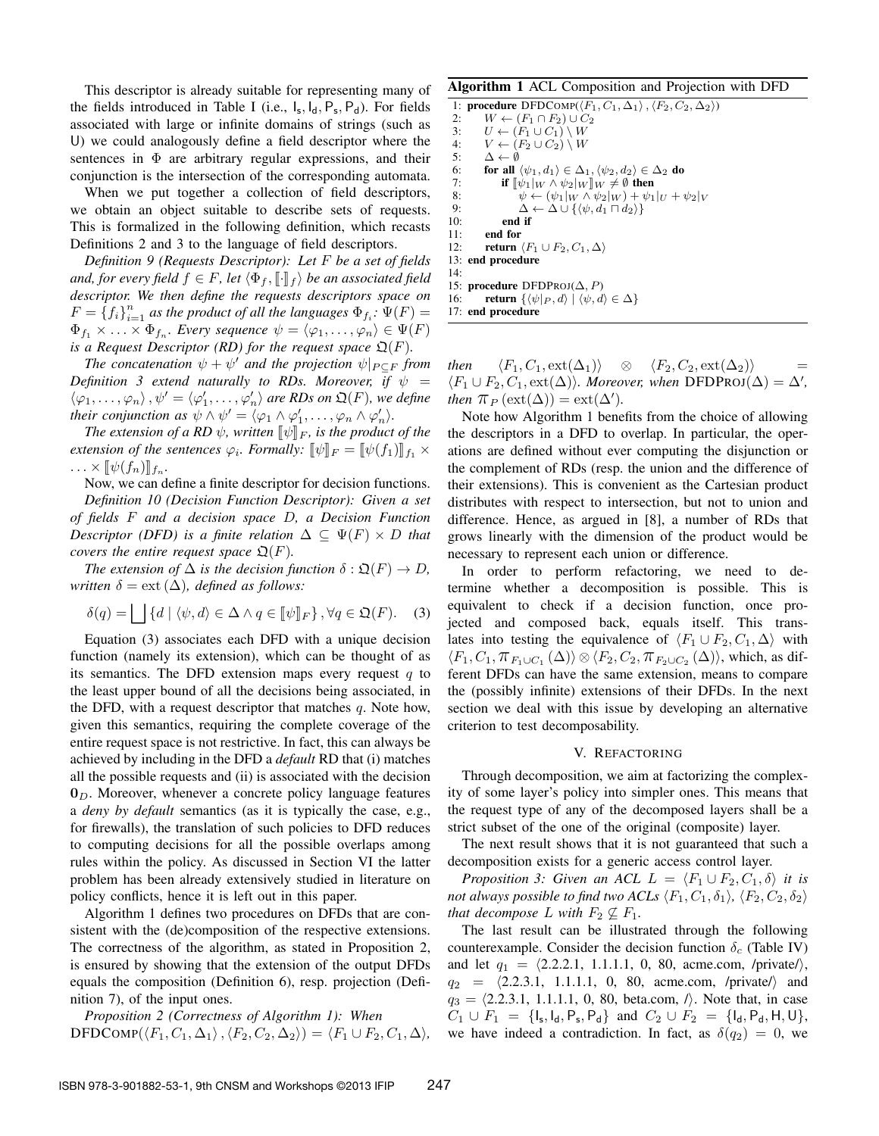This descriptor is already suitable for representing many of the fields introduced in Table I (i.e.,  $I_s$ ,  $I_d$ ,  $P_s$ ,  $P_d$ ). For fields associated with large or infinite domains of strings (such as U) we could analogously define a field descriptor where the sentences in  $\Phi$  are arbitrary regular expressions, and their conjunction is the intersection of the corresponding automata.

When we put together a collection of field descriptors, we obtain an object suitable to describe sets of requests. This is formalized in the following definition, which recasts Definitions 2 and 3 to the language of field descriptors.

*Definition 9 (Requests Descriptor): Let be a set of fields* and, for every field  $f \in F$ , let  $\langle \Phi_f, \llbracket \cdot \rrbracket_f \rangle$  be an associated field *descriptor. We then define the requests descriptors space on*  $F = \{f_i\}_{i=1}^n$  as the product of all the languages  $\Phi_{f_i}: \Psi(F) =$  $\Phi_{f_1} \times \ldots \times \Phi_{f_n}$ . Every sequence  $\psi = \langle \varphi_1, \ldots, \varphi_n \rangle \in \Psi(F)$ *is a Request Descriptor (RD) for the request space*  $\mathfrak{Q}(F)$ *.* 

*The concatenation*  $\psi + \psi'$  *and the projection*  $\psi|_{P \subseteq F}$  *from Definition 3 extend naturally to RDs. Moreover, if*  $\psi$  =  $\langle \varphi_1,\ldots,\varphi_n\rangle$  ,  $\psi'=\langle \varphi'_1,\ldots,\varphi'_n\rangle$  are RDs on  $\mathfrak{Q}(F)$ , we define *their conjunction as*  $\psi \wedge \psi' = \langle \varphi_1 \wedge \varphi'_1, \dots, \varphi_n \wedge \varphi'_n \rangle$ *.* 

The extension of a RD  $\psi$ , written  $[\![\psi]\!]_F$ , is the product of the extension of the sentences  $\varphi_i$ . Formally:  $[\![\psi]\!]_F = [\![\psi(f_1)]\!]_{f_1} \times$  $\ldots \times [\![\psi(f_n)]\!]_{f_n}.$ 

Now, we can define a finite descriptor for decision functions. *Definition 10 (Decision Function Descriptor): Given a set of fields F and a decision space D, a Decision Function* 

*Descriptor (DFD) is a finite relation*  $\Delta \subseteq \Psi(F) \times D$  that *covers the entire request space*  $\mathfrak{Q}(F)$ *.* 

*The extension of*  $\Delta$  *is the decision function*  $\delta : \mathfrak{Q}(F) \to D$ , *written*  $\delta = \text{ext}(\Delta)$ *, defined as follows:* 

$$
\delta(q) = \bigsqcup \{ d \mid \langle \psi, d \rangle \in \Delta \land q \in [\![ \psi ]\!]_F \}, \forall q \in \mathfrak{Q}(F). \tag{3}
$$

Equation (3) associates each DFD with a unique decision function (namely its extension), which can be thought of as its semantics. The DFD extension maps every request  $q$  to the least upper bound of all the decisions being associated, in the DFD, with a request descriptor that matches  $q$ . Note how, given this semantics, requiring the complete coverage of the entire request space is not restrictive. In fact, this can always be achieved by including in the DFD a *default* RD that (i) matches all the possible requests and (ii) is associated with the decision **0**. Moreover, whenever a concrete policy language features a *deny by default* semantics (as it is typically the case, e.g., for firewalls), the translation of such policies to DFD reduces to computing decisions for all the possible overlaps among rules within the policy. As discussed in Section VI the latter problem has been already extensively studied in literature on policy conflicts, hence it is left out in this paper.

Algorithm 1 defines two procedures on DFDs that are consistent with the (de)composition of the respective extensions. The correctness of the algorithm, as stated in Proposition 2, is ensured by showing that the extension of the output DFDs equals the composition (Definition 6), resp. projection (Definition 7), of the input ones.

*Proposition 2 (Correctness of Algorithm 1): When*  $DFDCOMP(\langle F_1, C_1, \Delta_1 \rangle, \langle F_2, C_2, \Delta_2 \rangle) = \langle F_1 \cup F_2, C_1, \Delta \rangle,$ 

**Algorithm 1** ACL Composition and Projection with DFD

1: **procedure**  $DFDCOMP(\langle F_1, C_1, \Delta_1 \rangle, \langle F_2, C_2, \Delta_2 \rangle)$ 2:  $W \leftarrow (F_1 \cap F_2) \cup C_2$ <br>3:  $U \leftarrow (F_1 \cup C_1) \setminus W$ 3:  $U \leftarrow (F_1 \cup C_1) \setminus W$ <br>4:  $V \leftarrow (F_2 \cup C_2) \setminus W$ 4:  $V \leftarrow (F_2 \cup C_2) \setminus W$ 5:  $\Delta \leftarrow \emptyset$ 6: **for all**  $\langle \psi_1, d_1 \rangle \in \Delta_1$ ,  $\langle \psi_2, d_2 \rangle \in \Delta_2$  **do**<br>7: **if**  $\llbracket \psi_1 \rrbracket_W \wedge \psi_2 \rrbracket_W \llbracket w \neq \emptyset$  **then** 7: **if**  $[\![\psi_1\!]\_W \wedge \psi_2\!]\_W \rrbracket_W \neq \emptyset$  then 8:  $\psi \leftarrow (\psi_1|_W \wedge \psi_2|_W) + \psi_1|_U + \psi_2|_V$ <br>
9:  $\Delta \leftarrow \Delta \cup \{ \langle \psi, d_1 \sqcap d_2 \rangle \}$ 9:  $\Delta \leftarrow \Delta \cup \{ \langle \psi, d_1 \sqcap d_2 \rangle \}$ <br>10: **end if** 10: **end if** end for 12: **return**  $\langle F_1 \cup F_2, C_1, \Delta \rangle$ 13: **end procedure** 14: 15: **procedure**  $DFDPROJ(\Delta, P)$ 16: **return**  $\{\langle \psi |_P, d \rangle \mid \langle \psi, d \rangle \in \Delta\}$ 17: **end procedure**

*then*  $\langle F_1, C_1, \text{ext}(\Delta_1) \rangle \quad \otimes \quad \langle F_2, C_2, \text{ext}(\Delta_2) \rangle$  $\langle F_1 \cup F_2, C_1, \text{ext}(\Delta) \rangle$ *. Moreover, when* DFDPROJ $(\Delta) = \Delta'$ *, then*  $\pi_P(\text{ext}(\Delta)) = \text{ext}(\Delta').$ 

Note how Algorithm 1 benefits from the choice of allowing the descriptors in a DFD to overlap. In particular, the operations are defined without ever computing the disjunction or the complement of RDs (resp. the union and the difference of their extensions). This is convenient as the Cartesian product distributes with respect to intersection, but not to union and difference. Hence, as argued in [8], a number of RDs that grows linearly with the dimension of the product would be necessary to represent each union or difference.

In order to perform refactoring, we need to determine whether a decomposition is possible. This is equivalent to check if a decision function, once projected and composed back, equals itself. This translates into testing the equivalence of  $\langle F_1 \cup F_2, C_1, \Delta \rangle$  with  $\langle F_1, C_1, \pi_{F_1 \cup C_1}(\Delta) \rangle \otimes \langle F_2, C_2, \pi_{F_2 \cup C_2}(\Delta) \rangle$ , which, as different DFDs can have the same extension, means to compare the (possibly infinite) extensions of their DFDs. In the next section we deal with this issue by developing an alternative criterion to test decomposability.

#### V. REFACTORING

Through decomposition, we aim at factorizing the complexity of some layer's policy into simpler ones. This means that the request type of any of the decomposed layers shall be a strict subset of the one of the original (composite) layer.

The next result shows that it is not guaranteed that such a decomposition exists for a generic access control layer.

*Proposition 3: Given an ACL*  $L = \langle F_1 \cup F_2, C_1, \delta \rangle$  *it is not always possible to find two ACLs*  $\langle F_1, C_1, \delta_1 \rangle$ ,  $\langle F_2, C_2, \delta_2 \rangle$ *that decompose*  $L$  *with*  $F_2 \nsubseteq F_1$ *.* 

The last result can be illustrated through the following counterexample. Consider the decision function  $\delta_c$  (Table IV) and let  $q_1 = \langle 2.2.2.1, 1.1.1.1, 0, 80, \text{ acme.com}, \text{/private} \rangle$ ,  $q_2 = \langle 2.2.3.1, 1.1.1.1, 0, 80, \text{acme.com}, \text{/private/} \rangle$  and  $q_3 = \langle 2.2.3.1, 1.1.1.1, 0, 80, \text{ beta.com}, \Delta \rangle$ . Note that, in case  $C_1 \cup F_1 = \{I_s, I_d, P_s, P_d\}$  and  $C_2 \cup F_2 = \{I_d, P_d, H, U\}$ , we have indeed a contradiction. In fact, as  $\delta(q_2)=0$ , we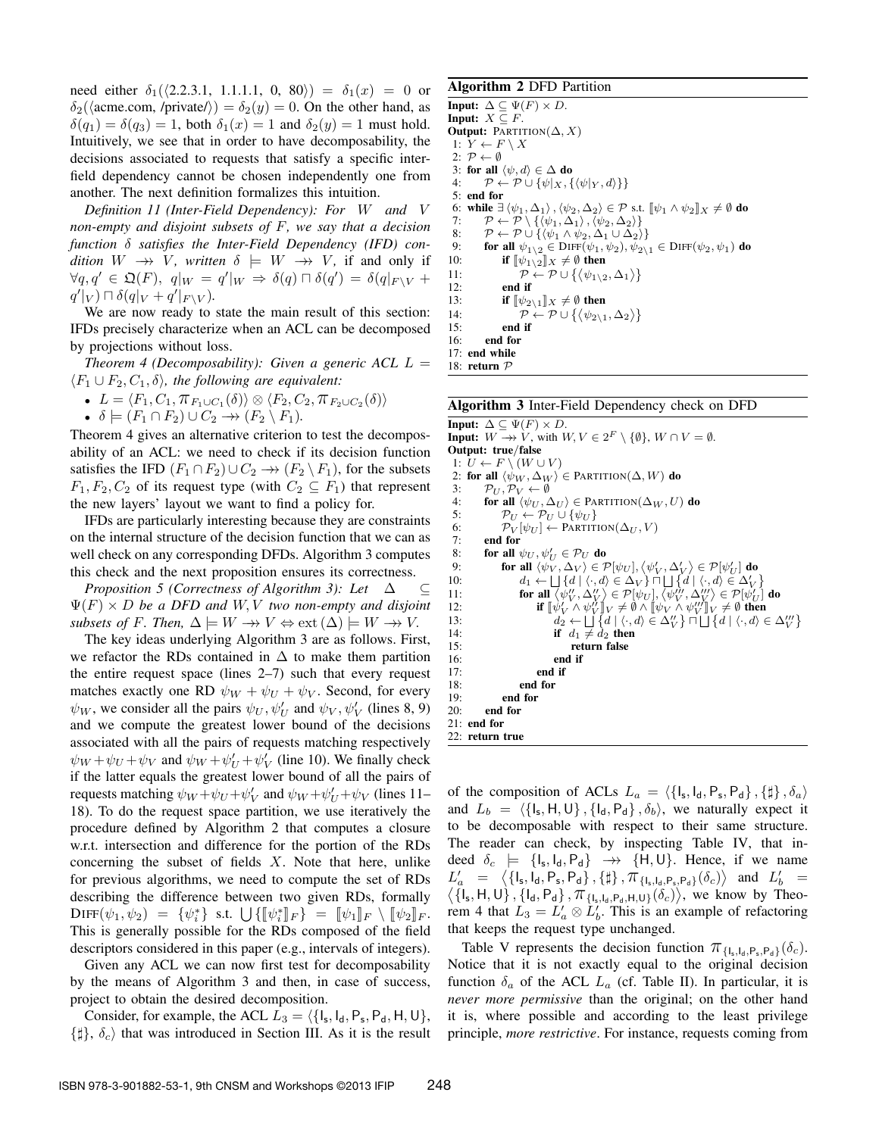need either  $\delta_1(\langle 2.2.3.1, 1.1.1.1, 0, 80 \rangle) = \delta_1(x) = 0$  or  $\delta_2(\langle \text{acme.com}, \text{/private} \rangle) = \delta_2(y)=0.$  On the other hand, as  $\delta(q_1) = \delta(q_3) = 1$ , both  $\delta_1(x) = 1$  and  $\delta_2(y) = 1$  must hold. Intuitively, we see that in order to have decomposability, the decisions associated to requests that satisfy a specific interfield dependency cannot be chosen independently one from another. The next definition formalizes this intuition.

*Definition 11 (Inter-Field Dependency): For W and V non-empty and disjoint subsets of F*, we say that a decision function  $\delta$  satisfies the Inter-Field Dependency (IFD) con*dition*  $W \rightarrow V$ , written  $\delta \models W \rightarrow V$ , if and only if  $\forall q, q' \in \mathfrak{Q}(F), \ q|_W = q'|_W \Rightarrow \delta(q) \sqcap \delta(q') = \delta(q|_{F \setminus V} +$  $q'|_V$ )  $\sqcap \delta(q|_V + q'|_{F \setminus V})$ .

We are now ready to state the main result of this section: IFDs precisely characterize when an ACL can be decomposed by projections without loss.

*Theorem 4 (Decomposability): Given a generic ACL*  $L =$  $\langle F_1 \cup F_2, C_1, \delta \rangle$ , the following are equivalent:

• 
$$
L = \langle F_1, C_1, \pi_{F_1 \cup C_1}(\delta) \rangle \otimes \langle F_2, C_2, \pi_{F_2 \cup C_2}(\delta) \rangle
$$

•  $\delta \models (F_1 \cap F_2) \cup C_2 \rightarrow (F_2 \setminus F_1).$ 

Theorem 4 gives an alternative criterion to test the decomposability of an ACL: we need to check if its decision function satisfies the IFD  $(F_1 \cap F_2) \cup C_2 \rightarrow (F_2 \setminus F_1)$ , for the subsets  $F_1, F_2, C_2$  of its request type (with  $C_2 \subseteq F_1$ ) that represent the new layers' layout we want to find a policy for.

IFDs are particularly interesting because they are constraints on the internal structure of the decision function that we can as well check on any corresponding DFDs. Algorithm 3 computes this check and the next proposition ensures its correctness.

*Proposition 5 (Correctness of Algorithm 3): Let*  $\Delta$  $\Psi(F) \times D$  be a DFD and W, V two non-empty and disjoint *subsets of F*. *Then,*  $\Delta \models W \rightarrow V \Leftrightarrow \text{ext}(\Delta) \models W \rightarrow V$ .

The key ideas underlying Algorithm 3 are as follows. First, we refactor the RDs contained in  $\Delta$  to make them partition the entire request space (lines 2–7) such that every request matches exactly one RD  $\psi_W + \psi_U + \psi_V$ . Second, for every  $\psi_W$ , we consider all the pairs  $\psi_U, \psi'_U$  and  $\psi_V, \psi'_V$  (lines 8, 9) and we compute the greatest lower bound of the decisions associated with all the pairs of requests matching respectively  $\psi_W + \psi_U + \psi_V$  and  $\psi_W + \psi'_U + \psi'_V$  (line 10). We finally check if the latter equals the greatest lower bound of all the pairs of requests matching  $\psi_W + \psi_U + \psi'_V$  and  $\psi_W + \psi'_U + \psi_V$  (lines 11– 18). To do the request space partition, we use iteratively the procedure defined by Algorithm 2 that computes a closure w.r.t. intersection and difference for the portion of the RDs concerning the subset of fields  $X$ . Note that here, unlike for previous algorithms, we need to compute the set of RDs describing the difference between two given RDs, formally  $\text{DIFF}(\psi_1, \psi_2) = {\psi_i^* } \text{ s.t. } \bigcup {\{\llbracket \psi_i^* \rrbracket_F\}} = {\llbracket \psi_1 \rrbracket_F} \setminus {\llbracket \psi_2 \rrbracket_F}.$ This is generally possible for the RDs composed of the field descriptors considered in this paper (e.g., intervals of integers).

Given any ACL we can now first test for decomposability by the means of Algorithm 3 and then, in case of success, project to obtain the desired decomposition.

Consider, for example, the ACL  $L_3 = \langle \{I_s, I_d, P_s, P_d, H, U\},\rangle$  $\{\sharp\}, \delta_c$  that was introduced in Section III. As it is the result

# **Algorithm 2** DFD Partition

**Input:**  $\Delta \subseteq \Psi(F) \times D$ . **Input:**  $X \subseteq F$ . **Output:** PARTITION $(\Delta, X)$ 1:  $Y \leftarrow F \setminus X$ 2:  $\mathcal{P} \leftarrow \emptyset$ 3: **for all**  $\langle \psi, d \rangle \in \Delta$  **do** 4:  $\mathcal{P} \leftarrow \mathcal{P} \cup \{\psi|_X, \{\langle \psi|_Y, d \rangle\}\}$ 5: **end for** 6: while  $\exists \langle \psi_1, \Delta_1 \rangle$ ,  $\langle \psi_2, \Delta_2 \rangle \in \mathcal{P}$  s.t.  $[\![\psi_1 \wedge \psi_2]\!]_X \neq \emptyset$  do 7:  $\mathcal{P} \leftarrow \mathcal{P} \setminus \{ \langle \psi_1, \Delta_1 \rangle, \langle \psi_2, \Delta_2 \rangle \}$ <br>8:  $\mathcal{P} \leftarrow \mathcal{P} \cup \{ \langle \psi_1 \wedge \psi_2, \Delta_1 \cup \Delta_2 \rangle \}$ 8:  $\mathcal{P} \leftarrow \mathcal{P} \cup \{(\psi_1 \wedge \psi_2, \Delta_1 \cup \Delta_2) \}$ <br>9: **for all**  $\psi_{1\vee 2} \in \text{DIFF}(\psi_1, \psi_2), \psi_{2\vee 2}$ 9: **for all**  $\psi_{1\setminus 2} \in \text{DIFF}(\psi_1, \psi_2), \psi_{2\setminus 1} \in \text{DIFF}(\psi_2, \psi_1)$  **do**<br>10: **if**  $[\psi_{1\setminus 2}]_X \neq \emptyset$  **then** 10: **if**  $[\![\psi_1 \backslash 2 \!] \times \neq \emptyset$  then 11:  $\mathcal{P} \leftarrow \mathcal{P} \cup \{ \langle \psi_{1\setminus 2}, \Delta_1 \rangle \}$ 12: **end if** 13: **if**  $[\![\psi_{2\setminus 1}]\!]_X \neq \emptyset$  then 14:  $\mathcal{P} \leftarrow \mathcal{P} \cup \{ \langle \psi_{2\backslash 1}, \Delta_2 \rangle \}$ 15: **end if** 16: **end for** 17: **end while** 18: **return**

**Algorithm 3** Inter-Field Dependency check on DFD

**Input:**  $\Delta \subseteq \Psi(F) \times D$ . **Input:**  $W \rightarrow V$ , with  $W, V \in 2^F \setminus \{\emptyset\}$ ,  $W \cap V = \emptyset$ . **Output: true**/**false** 1:  $\hat{U} \leftarrow F \setminus (W \cup V)$ 2: **for all**  $\langle \psi_W, \Delta_W \rangle \in \text{PARTITION}(\Delta, W)$  **do**<br>3:  $\mathcal{P}_{LL}, \mathcal{P}_V \leftarrow \emptyset$ 3:  $\mathcal{P}_U, \mathcal{P}_V \leftarrow \emptyset$ <br>4: for all  $\langle \psi_U, \mathcal{P}_V \rangle$ 4: **for all**  $\langle \psi_U, \Delta_U \rangle \in \text{PARTITION}(\Delta_W, U)$  **do**<br>5:  $\mathcal{P}_U \leftarrow \mathcal{P}_U \cup \{ \psi_U \}$  $\mathcal{P}_U \leftarrow \mathcal{P}_U \cup {\psi_U}$ 6:  $\mathcal{P}_V[\psi_U] \leftarrow \text{PARTITION}(\Delta_U, V)$ <br>7: **end for** 7: **end for** 8: **for all**  $\psi_U, \psi'_U \in \mathcal{P}_U$  do 9: **for all**  $\langle \psi_V, \Delta_V \rangle \in \mathcal{P}[\psi_U], \langle \psi_V', \Delta_V' \rangle \in \mathcal{P}[\psi_U']$  **do** 10:  $d_1 \leftarrow \bigsqcup \{ d \mid \langle \cdot, d \rangle \in \Delta_V \} \cap \bigsqcup \{ d \mid \langle \cdot, d \rangle \in \Delta'_V \}$ 11: **for all**  $\langle \psi_V'' , \Delta_V'' \rangle \in \mathcal{P}[\psi_U]$ ,  $\langle \psi_V''' , \Delta_V'' \rangle \in \mathcal{P}[\psi_U']$  do<br>
12: **if**  $[\psi_V' \land \psi_V'']_V \neq \emptyset \land [\psi_V \land \psi_V'']_V \neq \emptyset$  **then**<br>
13:  $d_2 \leftarrow \bigsqcup \{d \mid \langle \cdot, d \rangle \in \Delta_V''\} \sqcap \bigsqcup \{d \mid \langle \cdot, d \rangle \in \Delta_V'''\}$ 14: **if**  $d_1 \neq d_2$  then 15: **return false** 16: **end if** 17: **end if** 18: **end for** end for 20: **end for** 21: **end for** 22: **return true**

of the composition of ACLs  $L_a = \langle \{I_s, I_d, P_s, P_d\}, \{\sharp\}, \delta_a \rangle$ and  $L_b = \langle \{I_s, H, U\}, \{I_d, P_d\}, \delta_b \rangle$ , we naturally expect it to be decomposable with respect to their same structure. The reader can check, by inspecting Table IV, that indeed  $\delta_c \models \{I_s, I_d, P_d\} \rightarrow \{H, U\}$ . Hence, if we name  $L'_{a} = \langle \{\mathbf{I_s}, \mathbf{I_d}, \mathbf{P_s}, \mathbf{P_d}\}, \{\sharp\}, \pi_{\{\mathbf{I_s}, \mathbf{I_d}, \mathbf{P_s}, \mathbf{P_d}\}}(\delta_c) \rangle$  and  $L'_{b} = \langle \{\mathbf{I_s}, \mathbf{H}, \mathbf{U}\}, \{\mathbf{I_d}, \mathbf{P_d}\}, \pi_{\{\mathbf{I_s}, \mathbf{I_d}, \mathbf{P_d}, \mathbf{H}, \mathbf{U}\}}(\delta_c) \rangle$ , we know by Theo- $\{\mathbf{l}_s, \mathbf{H}, \mathbf{U}\}, \{\mathbf{l}_d, \mathbf{P}_d\}, \pi_{\{\mathbf{l}_s, \mathbf{l}_d, \mathbf{P}_d, \mathbf{H}, \mathbf{U}\}}(\delta_c)$ , we know by Theorem 4 that  $L_3 = L'_a \otimes L'_b$ . This is an example of refactoring that keeps the request type unchanged.

Table V represents the decision function  $\pi_{\{I_s, I_d, P_s, P_d\}}(\delta_c)$ . Notice that it is not exactly equal to the original decision function  $\delta_a$  of the ACL  $L_a$  (cf. Table II). In particular, it is *never more permissive* than the original; on the other hand it is, where possible and according to the least privilege principle, *more restrictive*. For instance, requests coming from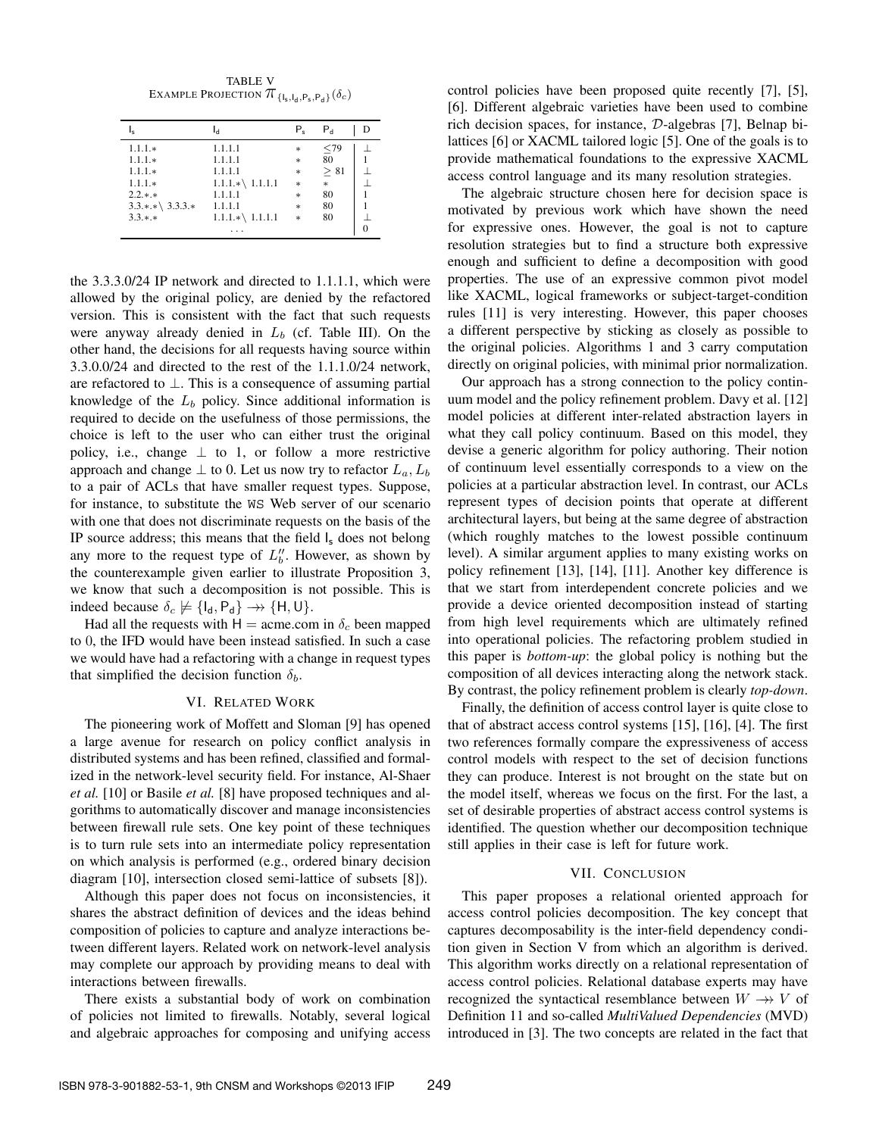TABLE V EXAMPLE PROJECTION  $\pi_{\{\mathsf{l}_s,\mathsf{l}_d,\mathsf{P}_s,\mathsf{P}_d\}}(\delta_c)$ 

| Iء                                                                                                   | ıч                                                                                                   | $P_{s}$                                                            | Pа                                                  | D |
|------------------------------------------------------------------------------------------------------|------------------------------------------------------------------------------------------------------|--------------------------------------------------------------------|-----------------------------------------------------|---|
| $1.1.1.*$<br>$1.1.1.*$<br>$1.1.1.*$<br>$1.1.1.*$<br>$2.2.*.*$<br>$3.3.*.*\ \&\ 3.3.3.*$<br>$3.3.*.*$ | 1.1.1.1<br>1.1.1.1<br>1.1.1.1<br>$1.1.1.*\$ 1.1.1.1<br>1.1.1.1<br>1.1.1.1<br>$1.1.1.*\$ 1.1.1.1<br>. | $\ast$<br>$\ast$<br>$\ast$<br>$\ast$<br>$\ast$<br>$\ast$<br>$\ast$ | $\leq$ 79<br>80<br>> 81<br>$\ast$<br>80<br>80<br>80 |   |

the 3.3.3.0/24 IP network and directed to 1.1.1.1, which were allowed by the original policy, are denied by the refactored version. This is consistent with the fact that such requests were anyway already denied in  $L<sub>b</sub>$  (cf. Table III). On the other hand, the decisions for all requests having source within 3.3.0.0/24 and directed to the rest of the 1.1.1.0/24 network, are refactored to ⊥. This is a consequence of assuming partial knowledge of the  $L<sub>b</sub>$  policy. Since additional information is required to decide on the usefulness of those permissions, the choice is left to the user who can either trust the original policy, i.e., change  $\perp$  to 1, or follow a more restrictive approach and change  $\perp$  to 0. Let us now try to refactor  $L_a, L_b$ to a pair of ACLs that have smaller request types. Suppose, for instance, to substitute the WS Web server of our scenario with one that does not discriminate requests on the basis of the IP source address; this means that the field  $I_s$  does not belong any more to the request type of  $L''_b$ . However, as shown by the counterexample given earlier to illustrate Proposition 3, we know that such a decomposition is not possible. This is indeed because  $\delta_c \not\models {\mathcal{U}_d, P_d} \rightarrow {\mathcal{H}, \mathsf{U}}.$ 

Had all the requests with H = acme.com in  $\delta_c$  been mapped to 0, the IFD would have been instead satisfied. In such a case we would have had a refactoring with a change in request types that simplified the decision function  $\delta_b$ .

## VI. RELATED WORK

The pioneering work of Moffett and Sloman [9] has opened a large avenue for research on policy conflict analysis in distributed systems and has been refined, classified and formalized in the network-level security field. For instance, Al-Shaer *et al.* [10] or Basile *et al.* [8] have proposed techniques and algorithms to automatically discover and manage inconsistencies between firewall rule sets. One key point of these techniques is to turn rule sets into an intermediate policy representation on which analysis is performed (e.g., ordered binary decision diagram [10], intersection closed semi-lattice of subsets [8]).

Although this paper does not focus on inconsistencies, it shares the abstract definition of devices and the ideas behind composition of policies to capture and analyze interactions between different layers. Related work on network-level analysis may complete our approach by providing means to deal with interactions between firewalls.

There exists a substantial body of work on combination of policies not limited to firewalls. Notably, several logical and algebraic approaches for composing and unifying access

control policies have been proposed quite recently [7], [5], [6]. Different algebraic varieties have been used to combine rich decision spaces, for instance,  $D$ -algebras [7], Belnap bilattices [6] or XACML tailored logic [5]. One of the goals is to provide mathematical foundations to the expressive XACML access control language and its many resolution strategies.

The algebraic structure chosen here for decision space is motivated by previous work which have shown the need for expressive ones. However, the goal is not to capture resolution strategies but to find a structure both expressive enough and sufficient to define a decomposition with good properties. The use of an expressive common pivot model like XACML, logical frameworks or subject-target-condition rules [11] is very interesting. However, this paper chooses a different perspective by sticking as closely as possible to the original policies. Algorithms 1 and 3 carry computation directly on original policies, with minimal prior normalization.

Our approach has a strong connection to the policy continuum model and the policy refinement problem. Davy et al. [12] model policies at different inter-related abstraction layers in what they call policy continuum. Based on this model, they devise a generic algorithm for policy authoring. Their notion of continuum level essentially corresponds to a view on the policies at a particular abstraction level. In contrast, our ACLs represent types of decision points that operate at different architectural layers, but being at the same degree of abstraction (which roughly matches to the lowest possible continuum level). A similar argument applies to many existing works on policy refinement [13], [14], [11]. Another key difference is that we start from interdependent concrete policies and we provide a device oriented decomposition instead of starting from high level requirements which are ultimately refined into operational policies. The refactoring problem studied in this paper is *bottom-up*: the global policy is nothing but the composition of all devices interacting along the network stack. By contrast, the policy refinement problem is clearly *top-down*.

Finally, the definition of access control layer is quite close to that of abstract access control systems [15], [16], [4]. The first two references formally compare the expressiveness of access control models with respect to the set of decision functions they can produce. Interest is not brought on the state but on the model itself, whereas we focus on the first. For the last, a set of desirable properties of abstract access control systems is identified. The question whether our decomposition technique still applies in their case is left for future work.

# VII. CONCLUSION

This paper proposes a relational oriented approach for access control policies decomposition. The key concept that captures decomposability is the inter-field dependency condition given in Section V from which an algorithm is derived. This algorithm works directly on a relational representation of access control policies. Relational database experts may have recognized the syntactical resemblance between  $W \rightarrow V$  of Definition 11 and so-called *MultiValued Dependencies* (MVD) introduced in [3]. The two concepts are related in the fact that